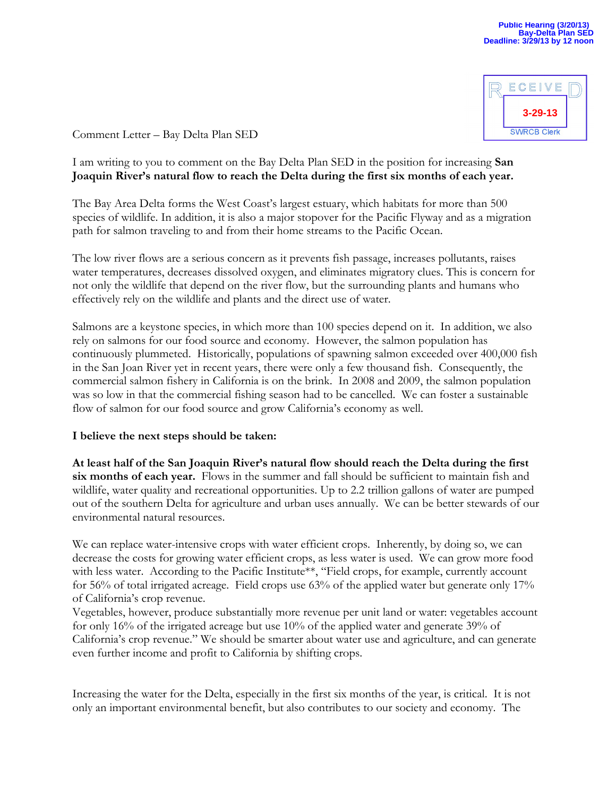

Comment Letter – Bay Delta Plan SED

## I am writing to you to comment on the Bay Delta Plan SED in the position for increasing **San Joaquin River's natural flow to reach the Delta during the first six months of each year.**

The Bay Area Delta forms the West Coast's largest estuary, which habitats for more than 500 species of wildlife. In addition, it is also a major stopover for the Pacific Flyway and as a migration path for salmon traveling to and from their home streams to the Pacific Ocean.

The low river flows are a serious concern as it prevents fish passage, increases pollutants, raises water temperatures, decreases dissolved oxygen, and eliminates migratory clues. This is concern for not only the wildlife that depend on the river flow, but the surrounding plants and humans who effectively rely on the wildlife and plants and the direct use of water.

Salmons are a keystone species, in which more than 100 species depend on it. In addition, we also rely on salmons for our food source and economy. However, the salmon population has continuously plummeted. Historically, populations of spawning salmon exceeded over 400,000 fish in the San Joan River yet in recent years, there were only a few thousand fish. Consequently, the commercial salmon fishery in California is on the brink. In 2008 and 2009, the salmon population was so low in that the commercial fishing season had to be cancelled. We can foster a sustainable flow of salmon for our food source and grow California's economy as well.

## **I believe the next steps should be taken:**

**At least half of the San Joaquin River's natural flow should reach the Delta during the first six months of each year.** Flows in the summer and fall should be sufficient to maintain fish and wildlife, water quality and recreational opportunities. Up to 2.2 trillion gallons of water are pumped out of the southern Delta for agriculture and urban uses annually. We can be better stewards of our environmental natural resources.

We can replace water-intensive crops with water efficient crops. Inherently, by doing so, we can decrease the costs for growing water efficient crops, as less water is used. We can grow more food with less water. According to the Pacific Institute\*\*, "Field crops, for example, currently account for 56% of total irrigated acreage. Field crops use 63% of the applied water but generate only 17% of California's crop revenue.

Vegetables, however, produce substantially more revenue per unit land or water: vegetables account for only 16% of the irrigated acreage but use 10% of the applied water and generate 39% of California's crop revenue." We should be smarter about water use and agriculture, and can generate even further income and profit to California by shifting crops.

Increasing the water for the Delta, especially in the first six months of the year, is critical. It is not only an important environmental benefit, but also contributes to our society and economy. The